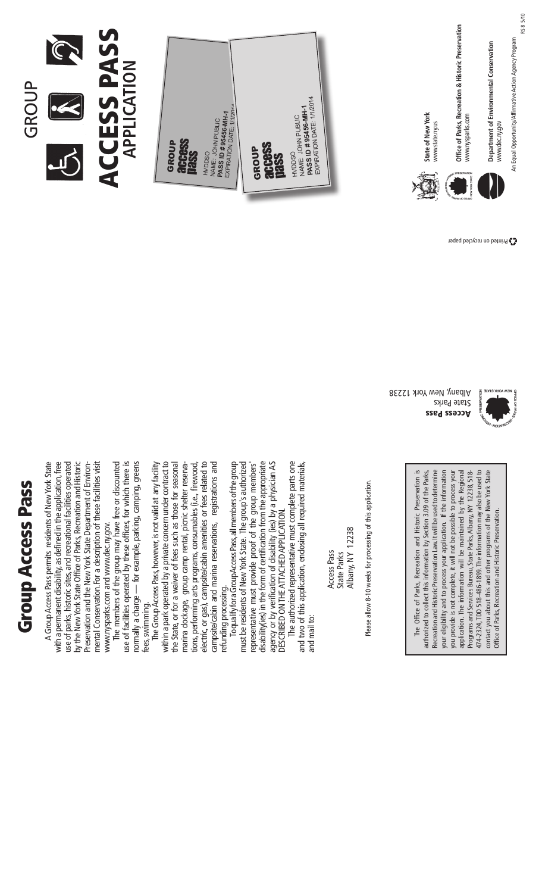# **Group Access Pass** Group Access Pass

GROUP

A Group Access Pass permits residents of New York State with a permanent disability, as defined in the application, free use of parks, historic sites, and recreational facilities operated by the New York State Office of Parks, Recreation and Historic mental Conservation.For a description of these facilities visit A Group Access Pass permits residents of New York State with a permanent disability, as defined in the application, free by the New York State Office of Parks, Recreation and Historic use of parks, historic sites, and recreational facilities operated Preservation and the New York State Department of Environ-Preservation and the New York State Department of Environmental Conservation. For a description of these facilities visit www.nysparks.com and www.dec.ny.gov. www.nysparks.com and www.dec.ny.gov.

The members of the group may have free or discounted use of facilities operated by these offices, for which there is use of facilities operated by these offices, for which there is normally a charge — for example, parking, camping, greens The members of the group may have free or discounted normally a charge - for example, parking, camping, greens fees, swimming. fees, swimming.

The Group Access Pass, however, is not valid at any facility within a park operated by a private concern under contract to the State, or for a waiver of fees such as those for seasonal tions, performing arts programs, consumables (i.e., firewood, electric, or gas), campsite/cabin amenities or fees related to campsite/cabin and marina reservations, registrations and The Group Access Pass, however, is not valid at any facility within a park operated by a private concern under contract to electric, or gas), campsite/cabin amenities or fees related to campsite/cabin and marina reservations, registrations and the State, or for a waiver of fees such as those for seasonal marina dockage, group camp rental, picnic shelter reservamarina dockage, group camp rental, picnic shelter reservations, performing arts programs, consumables (i.e., firewood, refunding processing. refunding processing.

To qualify for a Group Access Pass, all members of the group must be residents of New York State. The group's authorized representative must provide proof of the group members' disability(ies) in the form of certification from the appropriate To qualify for a GroupAccess Pass, all members of the group must be residents of New York State. The group's authorized disability(ies) in the form of certification from the appropriate agency or by verification of disability (ies) by a physician AS agency or by verification of disability (ies) by a physician as representative must provide proof of the group members' described ontheattachedapplication. DESCRIBED ON THE ATTACHED APPLICATION.

The authorized representative must complete parts one and two of this application, enclosing all required materials, The authorized representative must complete parts one and two of this application, enclosing all required materials, and mail to: and mail to:

Albany, NY 12238 Albany, NY 12238 Access Pass Access Pass State Parks State Parks

Please allow 8-10 weeks for processing of this application. Please allow 8-10 weeks for processing of this application.

The Office of Parks, Recreation and Historic Preservation is authorized to collect this information by Section 3.09 of the Parks, Recreation and Historic Preservation Law. It will be used to determine your eligibility and to process your application. If the information you provide is not complete, it will not be possible to process your application. The information will be maintained by the Regional application. The information will be maintained by the Regional 474-2324, TDD 518-486-1899. The information may also be used to 474-2324, TDD 518-486-1899. The information may also be used to contact you about this and other programs of the New York State contact you about this and other programs of the New York State The Office of Parks, Recreation and Historic Preservation is authorized to collect this information by Section 3.09 of the Parks, Recreation and Historic Preservation Law. It will be used to determine your eligibility and to process your application. If the information you provide is not complete, it will not be possible to process your Programs and Services Bureau, State Parks, Albany, NY 12238, 518-Programs and Services Bureau, State Parks, Albany, NY 12238, 518- Office of Parks, Recreation and Historic Preservation. Office of Parks, Recreation and Historic Preservation.

Access Pass State Parks Albany, New York 12238



Printed on recycled paper